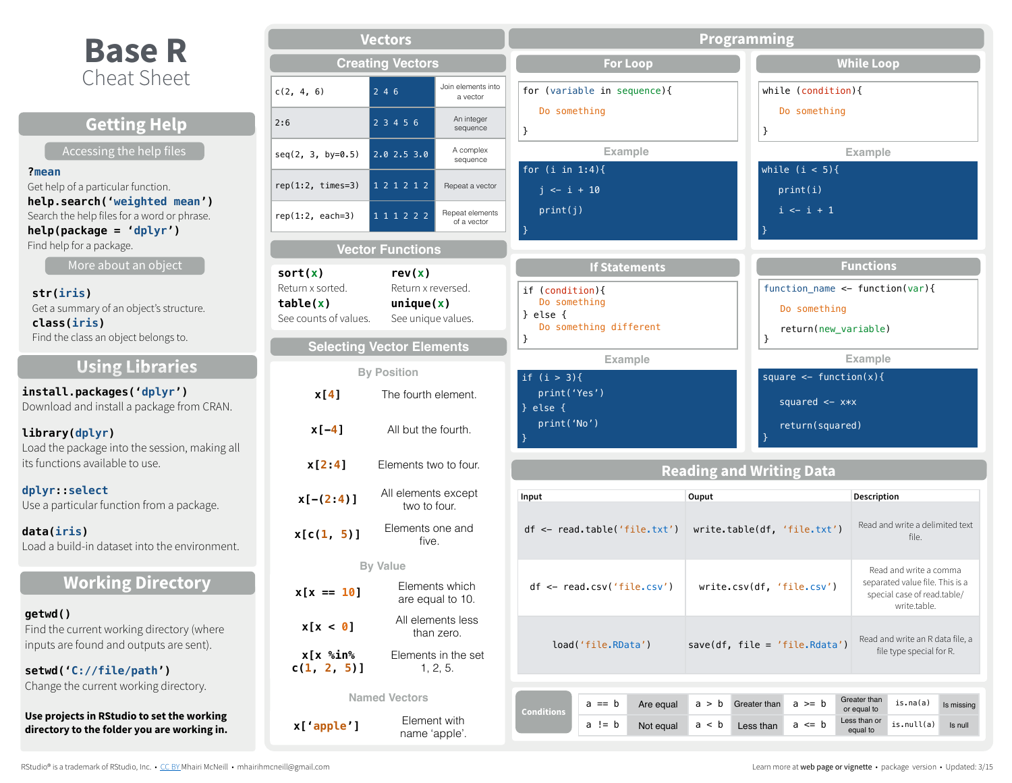# **Base R** Cheat Sheet

| <b>Getting Help</b>                                                                                         | 2:6                                |
|-------------------------------------------------------------------------------------------------------------|------------------------------------|
| Accessing the help files                                                                                    | seq(2)                             |
| ?mean<br>Get help of a particular function.<br>help.search('weighted mean')                                 | rep(1)                             |
| Search the help files for a word or phrase.<br>$help(package = 'dplyr')$<br>Find help for a package.        | rep(1)                             |
| More about an object                                                                                        | sort                               |
| str(iris)<br>Get a summary of an object's structure.<br>class(iris)<br>Find the class an object belongs to. | Retur<br>tab <sup>1</sup><br>See c |
| <b>Using Libraries</b>                                                                                      |                                    |
| install.packages('dplyr')<br>Download and install a package from CRAN.                                      |                                    |
| library(dplyr)<br>Load the package into the session, making all<br>its functions available to use.          |                                    |
| dplyr select<br>Use a particular function from a package.                                                   |                                    |
| data(iris)<br>Load a build-in dataset into the environment.                                                 | χ                                  |
| <b>Working Directory</b>                                                                                    | х                                  |
| getwd()<br>Find the current working directory (where<br>inputs are found and outputs are sent).             |                                    |
| setwd('C://file/path')<br>Change the current working directory.                                             | C.                                 |
|                                                                                                             |                                    |

**Use projects in RStudio to set the working directory to the folder you are working in.** 

| <b>Vectors</b>                                                   |                                                                 |                                 |  |  |
|------------------------------------------------------------------|-----------------------------------------------------------------|---------------------------------|--|--|
|                                                                  | <b>Creating Vectors</b>                                         |                                 |  |  |
| c(2, 4, 6)                                                       | 246                                                             | Join elements into<br>a vector  |  |  |
| 2:6                                                              | 23456                                                           | An integer<br>sequence          |  |  |
| seq(2, 3, by=0.5)                                                | 2.02.53.0                                                       | A complex<br>sequence           |  |  |
| $rep(1:2, times=3)$                                              | 1 2 1 2 1 2                                                     | Repeat a vector                 |  |  |
| $rep(1:2, each=3)$                                               | 1 1 1 2 2 2                                                     | Repeat elements<br>of a vector  |  |  |
|                                                                  | <b>Vector Functions</b>                                         |                                 |  |  |
| sort(x)<br>Return x sorted.<br>table(x)<br>See counts of values. | rev(x)<br>Return x reversed.<br>unique(x)<br>See unique values. |                                 |  |  |
| <b>Selecting Vector Elements</b>                                 |                                                                 |                                 |  |  |
|                                                                  | <b>By Position</b>                                              |                                 |  |  |
| x[4]<br>The fourth element.                                      |                                                                 |                                 |  |  |
| $x[-4]$                                                          | All but the fourth.                                             |                                 |  |  |
| x[2:4]                                                           | Elements two to four.                                           |                                 |  |  |
| $x[-(2:4)]$                                                      | All elements except<br>two to four.                             |                                 |  |  |
| x[c(1, 5)]                                                       | Elements one and<br>five.                                       |                                 |  |  |
| <b>By Value</b>                                                  |                                                                 |                                 |  |  |
| $x[x == 10]$                                                     | Elements which<br>are equal to 10.                              |                                 |  |  |
| x[x < 0]                                                         |                                                                 | All elements less<br>than zero. |  |  |
| x[x %in%<br>$c(1, 2, 5)$ ]                                       | Elements in the set<br>1, 2, 5.                                 |                                 |  |  |
|                                                                  | <b>Named Vectors</b>                                            |                                 |  |  |
| x['apple']                                                       | Element with<br>name 'apple'.                                   |                                 |  |  |

| <b>Programming</b>                                                                                                                                                      |                |                                                                                                          |                                                            |                                                                                                          |                       |
|-------------------------------------------------------------------------------------------------------------------------------------------------------------------------|----------------|----------------------------------------------------------------------------------------------------------|------------------------------------------------------------|----------------------------------------------------------------------------------------------------------|-----------------------|
| <b>For Loop</b>                                                                                                                                                         |                |                                                                                                          | <b>While Loop</b>                                          |                                                                                                          |                       |
| for (variable in sequence){<br>Do something<br>$\}$                                                                                                                     |                | while $(condition)$ {<br>Do something<br>ł                                                               |                                                            |                                                                                                          |                       |
| <b>Example</b>                                                                                                                                                          |                |                                                                                                          | <b>Example</b>                                             |                                                                                                          |                       |
| for $(i \in 1:4)$ {<br>$j \leftarrow i + 10$<br>print(j)<br>}                                                                                                           |                | while $(i < 5)$ {<br>print(i)<br>$i \leftarrow i + 1$<br>$\mathcal{F}$                                   |                                                            |                                                                                                          |                       |
| <b>If Statements</b><br>if (condition){<br>Do something<br>} else $\{$<br>Do something different<br>}<br><b>Example</b><br>if $(i > 3)$ {<br>print('Yes')<br>$}$ else { |                | function_name <- $function(var)$ {<br>Do something<br>}<br>square $\leq$ function(x){<br>squared $<-x*x$ | <b>Functions</b><br>return(new_variable)<br><b>Example</b> |                                                                                                          |                       |
| print('No')<br>return(squared)<br>}<br><b>Reading and Writing Data</b>                                                                                                  |                |                                                                                                          |                                                            |                                                                                                          |                       |
| Input                                                                                                                                                                   | Ouput          |                                                                                                          | Description                                                |                                                                                                          |                       |
| $df \leftarrow read.title('file.txt')$                                                                                                                                  |                | write.table(df, 'file.txt')                                                                              |                                                            | Read and write a delimited text<br>file.                                                                 |                       |
| $df \leftarrow read.csv('file.csv')$                                                                                                                                    |                | write.csv(df, 'file.csv')                                                                                |                                                            | Read and write a comma<br>separated value file. This is a<br>special case of read.table/<br>write.table. |                       |
| Read and write an R data file, a<br>load('file.RData')<br>$save(df, file = 'file.Rdata')$<br>file type special for R.                                                   |                |                                                                                                          |                                                            |                                                                                                          |                       |
| $a == b$<br>Are equal<br><b>Conditions</b><br>a != b<br>Not equal                                                                                                       | a > b<br>a < b | $a \geq b$<br>Greater than<br>$a \leq b$<br>Less than                                                    | Greater than<br>or equal to<br>Less than or<br>equal to    | is. $na(a)$<br>is.null(a)                                                                                | Is missing<br>Is null |